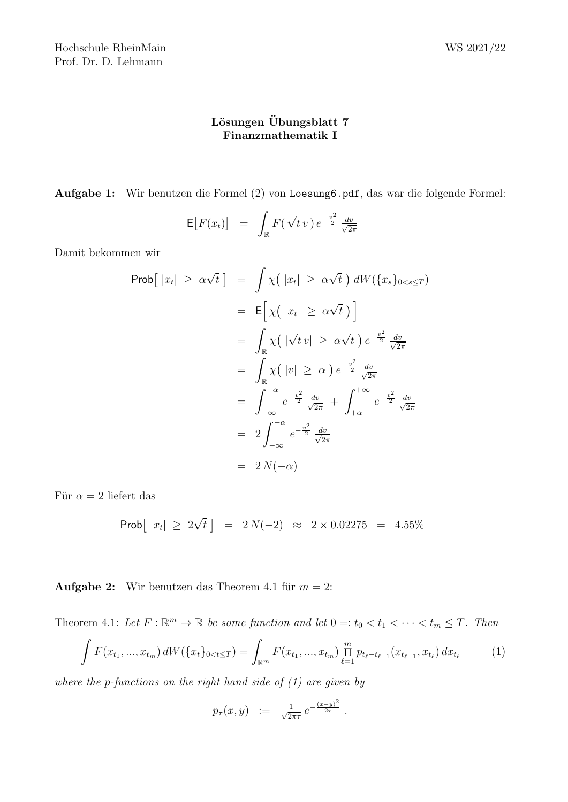## Lösungen Übungsblatt 7 Finanzmathematik I

Aufgabe 1: Wir benutzen die Formel (2) von Loesung6.pdf, das war die folgende Formel:

$$
\mathsf{E}\big[F(x_t)\big] = \int_{\mathbb{R}} F(\sqrt{t} \, v) \, e^{-\frac{v^2}{2}} \, \frac{dv}{\sqrt{2\pi}}
$$

Damit bekommen wir

$$
\begin{array}{rcl}\n\text{Prob}\big[ |x_t| \ge \alpha \sqrt{t} \big] & = & \int \chi \big( |x_t| \ge \alpha \sqrt{t} \big) \, dW(\{x_s\}_{0 < s \le T}) \\
& = & \mathsf{E}\big[ \chi \big( |x_t| \ge \alpha \sqrt{t} \big) \big] \\
& = & \int_{\mathbb{R}} \chi \big( |\sqrt{t} v| \ge \alpha \sqrt{t} \big) \, e^{-\frac{v^2}{2}} \frac{dv}{\sqrt{2\pi}} \\
& = & \int_{\mathbb{R}} \chi \big( |v| \ge \alpha \big) \, e^{-\frac{v^2}{2}} \frac{dv}{\sqrt{2\pi}} \\
& = & \int_{-\infty}^{-\alpha} e^{-\frac{v^2}{2}} \frac{dv}{\sqrt{2\pi}} + \int_{+\alpha}^{+\infty} e^{-\frac{v^2}{2}} \frac{dv}{\sqrt{2\pi}} \\
& = & 2 \int_{-\infty}^{-\alpha} e^{-\frac{v^2}{2}} \frac{dv}{\sqrt{2\pi}} \\
& = & 2N(-\alpha)\n\end{array}
$$

Für  $\alpha = 2$  liefert das

$$
Prob[ |x_t| \ge 2\sqrt{t} ] = 2N(-2) \approx 2 \times 0.02275 = 4.55\%
$$

**Aufgabe 2:** Wir benutzen das Theorem 4.1 für  $m = 2$ :

Theorem 4.1: Let  $F: \mathbb{R}^m \to \mathbb{R}$  be some function and let  $0 =: t_0 < t_1 < \cdots < t_m \leq T$ . Then  $\int F(x_{t_1},...,x_{t_m}) dW(\lbrace x_t \rbrace_{0 < t \leq T}) = \int_{\mathbb{R}^m} F(x_{t_1},...,x_{t_m}) \prod_{\ell=1}^m p_{t_{\ell} - t_{\ell-1}}(x_{t_{\ell-1}},x_{t_{\ell}}) dx_{t_{\ell}}$ (1)

where the p-functions on the right hand side of  $(1)$  are given by

$$
p_{\tau}(x, y) := \frac{1}{\sqrt{2\pi\tau}} e^{-\frac{(x-y)^2}{2\tau}}.
$$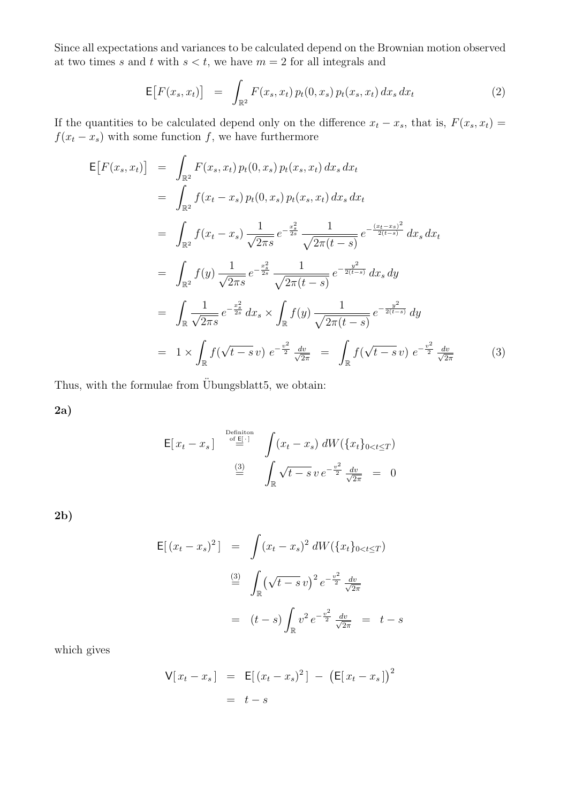Since all expectations and variances to be calculated depend on the Brownian motion observed at two times s and t with  $s < t$ , we have  $m = 2$  for all integrals and

$$
\mathsf{E}\big[F(x_s, x_t)\big] = \int_{\mathbb{R}^2} F(x_s, x_t) \, p_t(0, x_s) \, p_t(x_s, x_t) \, dx_s \, dx_t \tag{2}
$$

If the quantities to be calculated depend only on the difference  $x_t - x_s$ , that is,  $F(x_s, x_t) =$  $f(x_t - x_s)$  with some function f, we have furthermore

$$
\begin{split}\n\mathsf{E}\big[F(x_s, x_t)\big] &= \int_{\mathbb{R}^2} F(x_s, x_t) \, p_t(0, x_s) \, p_t(x_s, x_t) \, dx_s \, dx_t \\
&= \int_{\mathbb{R}^2} f(x_t - x_s) \, p_t(0, x_s) \, p_t(x_s, x_t) \, dx_s \, dx_t \\
&= \int_{\mathbb{R}^2} f(x_t - x_s) \, \frac{1}{\sqrt{2\pi s}} \, e^{-\frac{x_s^2}{2s}} \, \frac{1}{\sqrt{2\pi(t-s)}} \, e^{-\frac{(x_t - x_s)^2}{2(t-s)}} \, dx_s \, dx_t \\
&= \int_{\mathbb{R}^2} f(y) \, \frac{1}{\sqrt{2\pi s}} \, e^{-\frac{x_s^2}{2s}} \, \frac{1}{\sqrt{2\pi(t-s)}} \, e^{-\frac{y^2}{2(t-s)}} \, dx_s \, dy \\
&= \int_{\mathbb{R}} \frac{1}{\sqrt{2\pi s}} \, e^{-\frac{x_s^2}{2s}} \, dx_s \times \int_{\mathbb{R}} f(y) \, \frac{1}{\sqrt{2\pi(t-s)}} \, e^{-\frac{y^2}{2(t-s)}} \, dy \\
&= 1 \times \int_{\mathbb{R}} f(\sqrt{t-s} \, v) \, e^{-\frac{v^2}{2}} \, \frac{dv}{\sqrt{2\pi}} \, = \int_{\mathbb{R}} f(\sqrt{t-s} \, v) \, e^{-\frac{v^2}{2}} \, \frac{dv}{\sqrt{2\pi}} \n\end{split} \tag{3}
$$

Thus, with the formulae from Übungsblatt5, we obtain:

2a)

$$
\mathsf{E}[x_t - x_s] \stackrel{\text{Definition}}{=} \int (x_t - x_s) \, dW(\{x_t\}_{0 < t \le T})
$$
\n
$$
\stackrel{\text{(3)}}{=} \int_{\mathbb{R}} \sqrt{t - s} \, v \, e^{-\frac{v^2}{2}} \, \frac{dv}{\sqrt{2\pi}} = 0
$$

2b)

$$
\mathsf{E}[(x_t - x_s)^2] = \int (x_t - x_s)^2 dW(\{x_t\}_{0 < t \le T})
$$
\n
$$
\stackrel{(3)}{=} \int_{\mathbb{R}} (\sqrt{t - s} v)^2 e^{-\frac{v^2}{2}} \frac{dv}{\sqrt{2\pi}}
$$
\n
$$
= (t - s) \int_{\mathbb{R}} v^2 e^{-\frac{v^2}{2}} \frac{dv}{\sqrt{2\pi}} = t - s
$$

which gives

$$
\begin{aligned} \nabla [x_t - x_s] &= \mathsf{E}[(x_t - x_s)^2] - \left(\mathsf{E}[x_t - x_s]\right)^2 \\ \n&= \ t - s \n\end{aligned}
$$